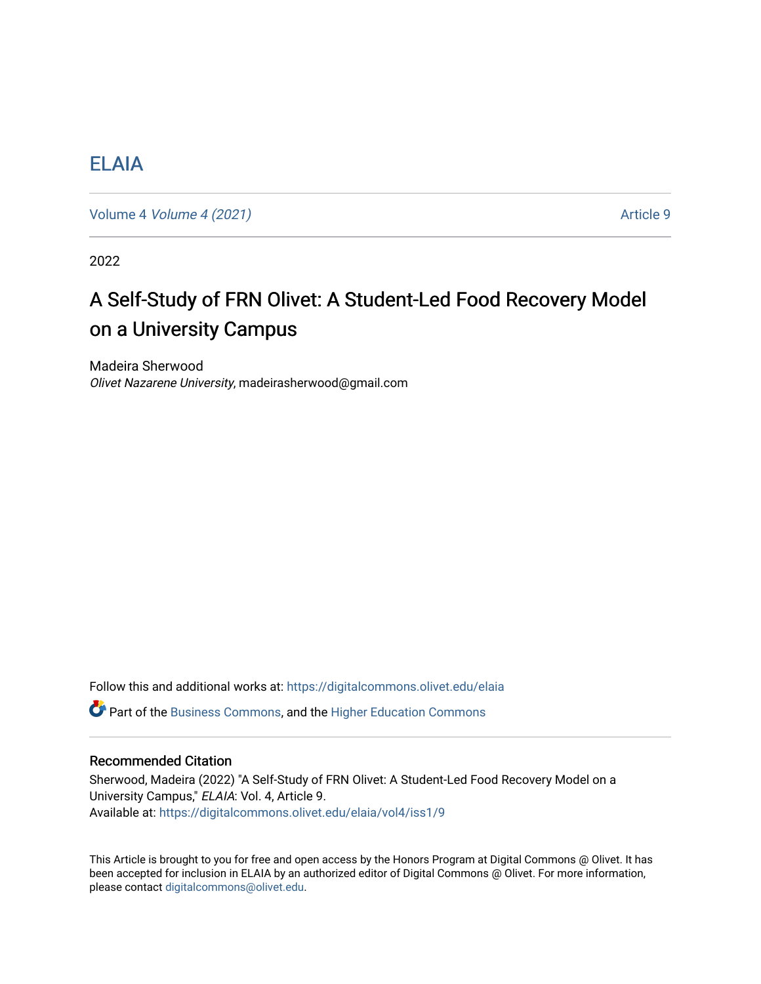# [ELAIA](https://digitalcommons.olivet.edu/elaia)

Volume 4 *Volume 4 (2021)* Article 9

2022

# A Self-Study of FRN Olivet: A Student-Led Food Recovery Model on a University Campus

Madeira Sherwood Olivet Nazarene University, madeirasherwood@gmail.com

Follow this and additional works at: [https://digitalcommons.olivet.edu/elaia](https://digitalcommons.olivet.edu/elaia?utm_source=digitalcommons.olivet.edu%2Felaia%2Fvol4%2Fiss1%2F9&utm_medium=PDF&utm_campaign=PDFCoverPages)

**C** Part of the [Business Commons](http://network.bepress.com/hgg/discipline/622?utm_source=digitalcommons.olivet.edu%2Felaia%2Fvol4%2Fiss1%2F9&utm_medium=PDF&utm_campaign=PDFCoverPages), and the [Higher Education Commons](http://network.bepress.com/hgg/discipline/1245?utm_source=digitalcommons.olivet.edu%2Felaia%2Fvol4%2Fiss1%2F9&utm_medium=PDF&utm_campaign=PDFCoverPages)

# Recommended Citation

Sherwood, Madeira (2022) "A Self-Study of FRN Olivet: A Student-Led Food Recovery Model on a University Campus," ELAIA: Vol. 4, Article 9. Available at: [https://digitalcommons.olivet.edu/elaia/vol4/iss1/9](https://digitalcommons.olivet.edu/elaia/vol4/iss1/9?utm_source=digitalcommons.olivet.edu%2Felaia%2Fvol4%2Fiss1%2F9&utm_medium=PDF&utm_campaign=PDFCoverPages)

This Article is brought to you for free and open access by the Honors Program at Digital Commons @ Olivet. It has been accepted for inclusion in ELAIA by an authorized editor of Digital Commons @ Olivet. For more information, please contact [digitalcommons@olivet.edu.](mailto:digitalcommons@olivet.edu)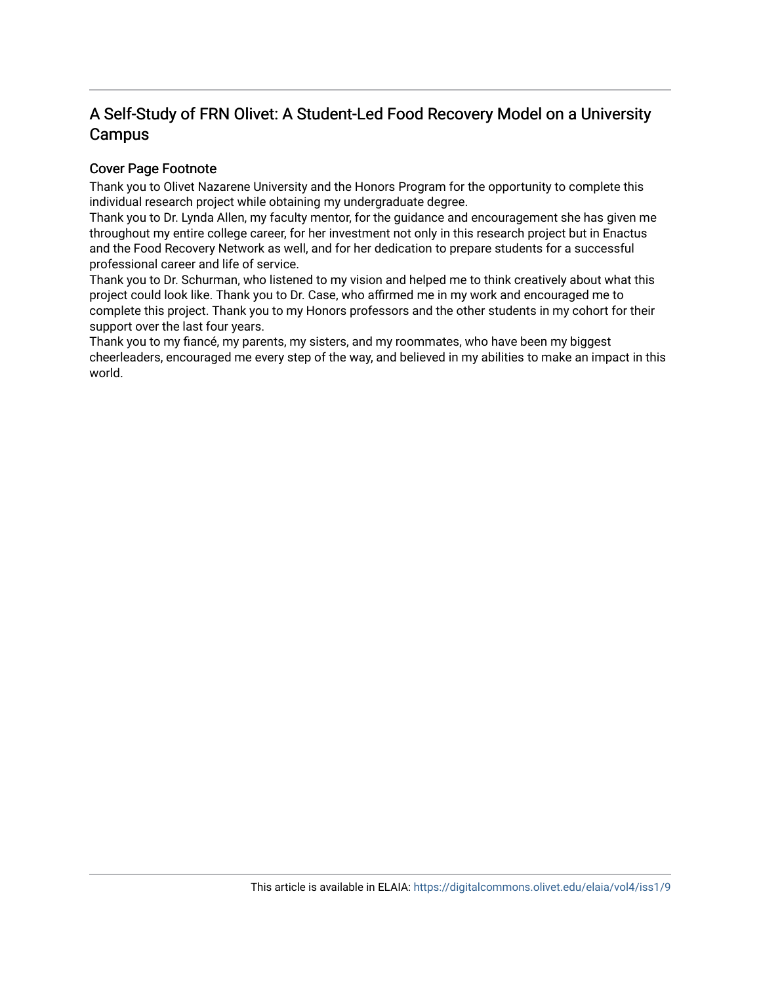# A Self-Study of FRN Olivet: A Student-Led Food Recovery Model on a University Campus

# Cover Page Footnote

Thank you to Olivet Nazarene University and the Honors Program for the opportunity to complete this individual research project while obtaining my undergraduate degree.

Thank you to Dr. Lynda Allen, my faculty mentor, for the guidance and encouragement she has given me throughout my entire college career, for her investment not only in this research project but in Enactus and the Food Recovery Network as well, and for her dedication to prepare students for a successful professional career and life of service.

Thank you to Dr. Schurman, who listened to my vision and helped me to think creatively about what this project could look like. Thank you to Dr. Case, who affirmed me in my work and encouraged me to complete this project. Thank you to my Honors professors and the other students in my cohort for their support over the last four years.

Thank you to my fiancé, my parents, my sisters, and my roommates, who have been my biggest cheerleaders, encouraged me every step of the way, and believed in my abilities to make an impact in this world.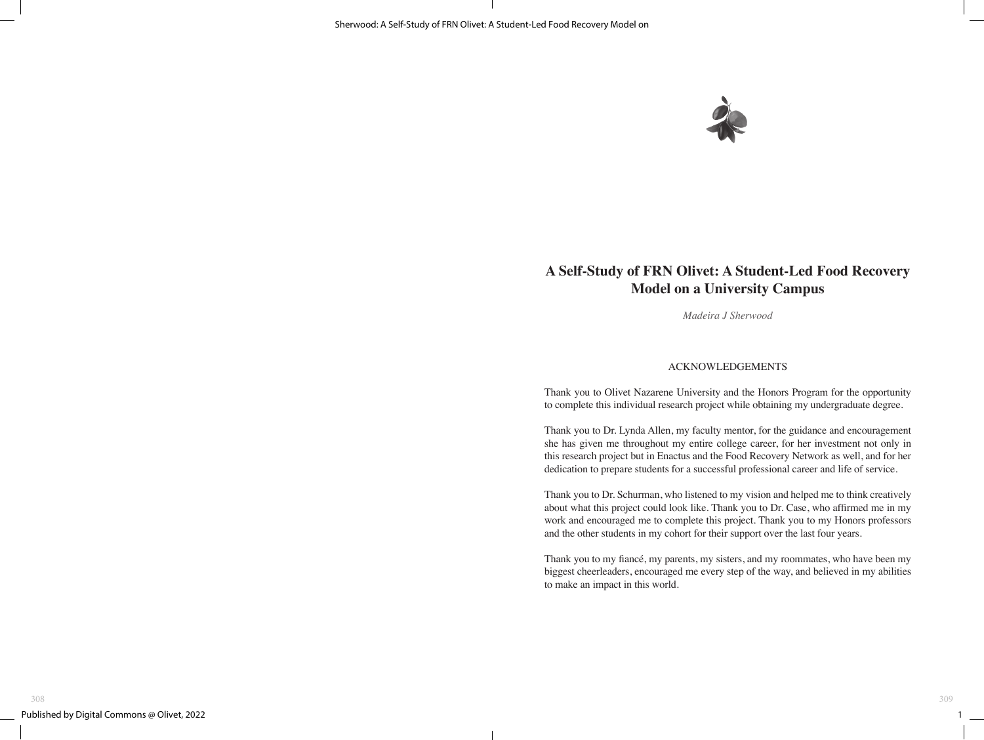

# **A Self-Study of FRN Olivet: A Student-Led Food Recovery Model on a University Campus**

*Madeira J Sherwood*

#### ACKNOWLEDGEMENTS

Thank you to Olivet Nazarene University and the Honors Program for the opportunity to complete this individual research project while obtaining my undergraduate degree.

Thank you to Dr. Lynda Allen, my faculty mentor, for the guidance and encouragement she has given me throughout my entire college career, for her investment not only in this research project but in Enactus and the Food Recovery Network as well, and for her dedication to prepare students for a successful professional career and life of service.

Thank you to Dr. Schurman, who listened to my vision and helped me to think creatively about what this project could look like. Thank you to Dr. Case, who affirmed me in my work and encouraged me to complete this project. Thank you to my Honors professors and the other students in my cohort for their support over the last four years.

Thank you to my fiancé, my parents, my sisters, and my roommates, who have been my biggest cheerleaders, encouraged me every step of the way, and believed in my abilities to make an impact in this world.

 $1 \equiv$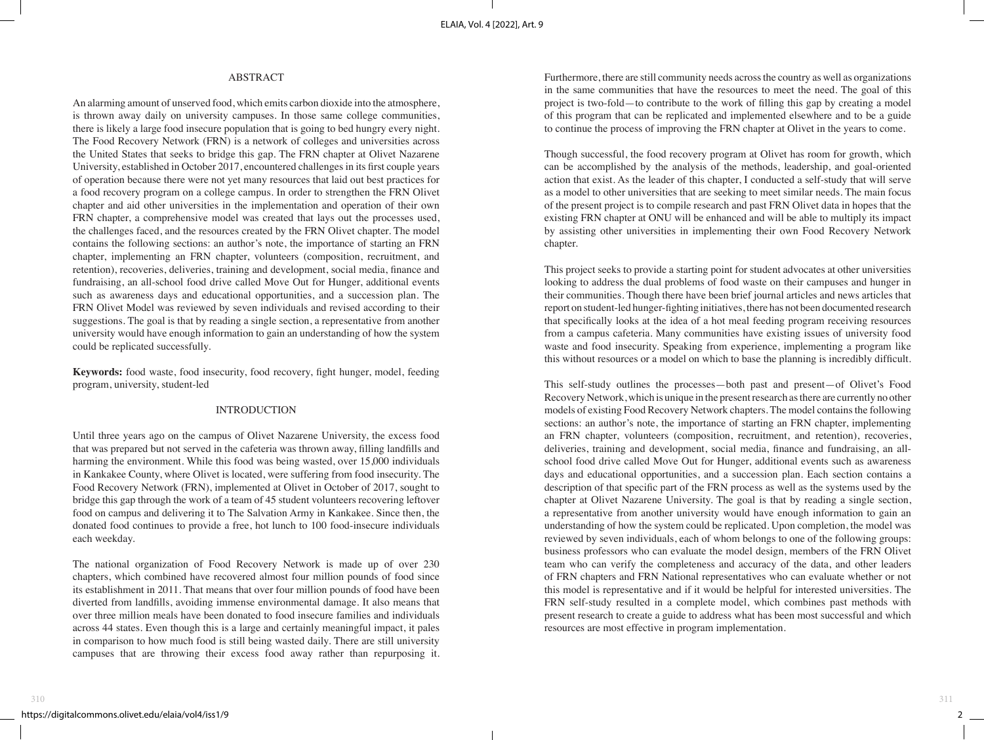# ABSTRACT

An alarming amount of unserved food, which emits carbon dioxide into the atmosphere, is thrown away daily on university campuses. In those same college communities, there is likely a large food insecure population that is going to bed hungry every night. The Food Recovery Network (FRN) is a network of colleges and universities across the United States that seeks to bridge this gap. The FRN chapter at Olivet Nazarene University, established in October 2017, encountered challenges in its first couple years of operation because there were not yet many resources that laid out best practices for a food recovery program on a college campus. In order to strengthen the FRN Olivet chapter and aid other universities in the implementation and operation of their own FRN chapter, a comprehensive model was created that lays out the processes used, the challenges faced, and the resources created by the FRN Olivet chapter. The model contains the following sections: an author's note, the importance of starting an FRN chapter, implementing an FRN chapter, volunteers (composition, recruitment, and retention), recoveries, deliveries, training and development, social media, finance and fundraising, an all-school food drive called Move Out for Hunger, additional events such as awareness days and educational opportunities, and a succession plan. The FRN Olivet Model was reviewed by seven individuals and revised according to their suggestions. The goal is that by reading a single section, a representative from another university would have enough information to gain an understanding of how the system could be replicated successfully.

**Keywords:** food waste, food insecurity, food recovery, fight hunger, model, feeding program, university, student-led

# INTRODUCTION

Until three years ago on the campus of Olivet Nazarene University, the excess food that was prepared but not served in the cafeteria was thrown away, filling landfills and harming the environment. While this food was being wasted, over 15,000 individuals in Kankakee County, where Olivet is located, were suffering from food insecurity. The Food Recovery Network (FRN), implemented at Olivet in October of 2017, sought to bridge this gap through the work of a team of 45 student volunteers recovering leftover food on campus and delivering it to The Salvation Army in Kankakee. Since then, the donated food continues to provide a free, hot lunch to 100 food-insecure individuals each weekday.

The national organization of Food Recovery Network is made up of over 230 chapters, which combined have recovered almost four million pounds of food since its establishment in 2011. That means that over four million pounds of food have been diverted from landfills, avoiding immense environmental damage. It also means that over three million meals have been donated to food insecure families and individuals across 44 states. Even though this is a large and certainly meaningful impact, it pales in comparison to how much food is still being wasted daily. There are still university campuses that are throwing their excess food away rather than repurposing it.

Furthermore, there are still community needs across the country as well as organizations in the same communities that have the resources to meet the need. The goal of this project is two-fold—to contribute to the work of filling this gap by creating a model of this program that can be replicated and implemented elsewhere and to be a guide to continue the process of improving the FRN chapter at Olivet in the years to come.

Though successful, the food recovery program at Olivet has room for growth, which can be accomplished by the analysis of the methods, leadership, and goal-oriented action that exist. As the leader of this chapter, I conducted a self-study that will serve as a model to other universities that are seeking to meet similar needs. The main focus of the present project is to compile research and past FRN Olivet data in hopes that the existing FRN chapter at ONU will be enhanced and will be able to multiply its impact by assisting other universities in implementing their own Food Recovery Network chapter.

This project seeks to provide a starting point for student advocates at other universities looking to address the dual problems of food waste on their campuses and hunger in their communities. Though there have been brief journal articles and news articles that report on student-led hunger-fighting initiatives, there has not been documented research that specifically looks at the idea of a hot meal feeding program receiving resources from a campus cafeteria. Many communities have existing issues of university food waste and food insecurity. Speaking from experience, implementing a program like this without resources or a model on which to base the planning is incredibly difficult.

This self-study outlines the processes—both past and present—of Olivet's Food Recovery Network, which is unique in the present research as there are currently no other models of existing Food Recovery Network chapters. The model contains the following sections: an author's note, the importance of starting an FRN chapter, implementing an FRN chapter, volunteers (composition, recruitment, and retention), recoveries, deliveries, training and development, social media, finance and fundraising, an allschool food drive called Move Out for Hunger, additional events such as awareness days and educational opportunities, and a succession plan. Each section contains a description of that specific part of the FRN process as well as the systems used by the chapter at Olivet Nazarene University. The goal is that by reading a single section, a representative from another university would have enough information to gain an understanding of how the system could be replicated. Upon completion, the model was reviewed by seven individuals, each of whom belongs to one of the following groups: business professors who can evaluate the model design, members of the FRN Olivet team who can verify the completeness and accuracy of the data, and other leaders of FRN chapters and FRN National representatives who can evaluate whether or not this model is representative and if it would be helpful for interested universities. The FRN self-study resulted in a complete model, which combines past methods with present research to create a guide to address what has been most successful and which resources are most effective in program implementation.

 $2$   $\qquad$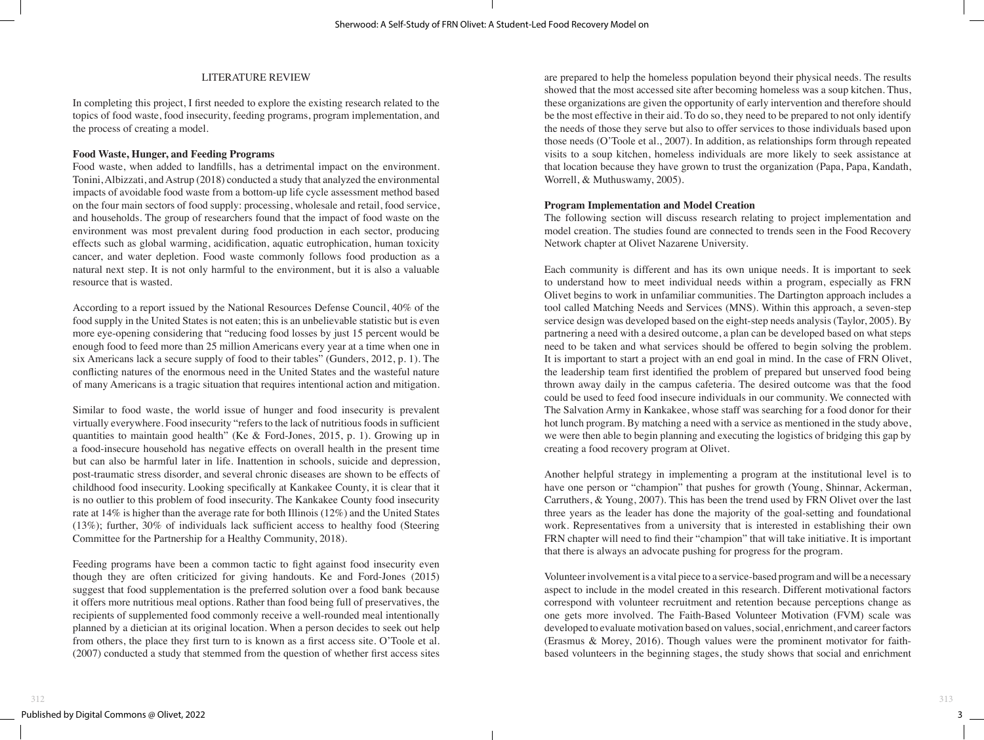## LITERATURE REVIEW

In completing this project, I first needed to explore the existing research related to the topics of food waste, food insecurity, feeding programs, program implementation, and the process of creating a model.

#### **Food Waste, Hunger, and Feeding Programs**

Food waste, when added to landfills, has a detrimental impact on the environment. Tonini, Albizzati, and Astrup (2018) conducted a study that analyzed the environmental impacts of avoidable food waste from a bottom-up life cycle assessment method based on the four main sectors of food supply: processing, wholesale and retail, food service, and households. The group of researchers found that the impact of food waste on the environment was most prevalent during food production in each sector, producing effects such as global warming, acidification, aquatic eutrophication, human toxicity cancer, and water depletion. Food waste commonly follows food production as a natural next step. It is not only harmful to the environment, but it is also a valuable resource that is wasted.

According to a report issued by the National Resources Defense Council, 40% of the food supply in the United States is not eaten; this is an unbelievable statistic but is even more eye-opening considering that "reducing food losses by just 15 percent would be enough food to feed more than 25 million Americans every year at a time when one in six Americans lack a secure supply of food to their tables" (Gunders, 2012, p. 1). The conflicting natures of the enormous need in the United States and the wasteful nature of many Americans is a tragic situation that requires intentional action and mitigation.

Similar to food waste, the world issue of hunger and food insecurity is prevalent virtually everywhere. Food insecurity "refers to the lack of nutritious foods in sufficient quantities to maintain good health" (Ke & Ford-Jones, 2015, p. 1). Growing up in a food-insecure household has negative effects on overall health in the present time but can also be harmful later in life. Inattention in schools, suicide and depression, post-traumatic stress disorder, and several chronic diseases are shown to be effects of childhood food insecurity. Looking specifically at Kankakee County, it is clear that it is no outlier to this problem of food insecurity. The Kankakee County food insecurity rate at 14% is higher than the average rate for both Illinois (12%) and the United States (13%); further, 30% of individuals lack sufficient access to healthy food (Steering Committee for the Partnership for a Healthy Community, 2018).

Feeding programs have been a common tactic to fight against food insecurity even though they are often criticized for giving handouts. Ke and Ford-Jones (2015) suggest that food supplementation is the preferred solution over a food bank because it offers more nutritious meal options. Rather than food being full of preservatives, the recipients of supplemented food commonly receive a well-rounded meal intentionally planned by a dietician at its original location. When a person decides to seek out help from others, the place they first turn to is known as a first access site. O'Toole et al. (2007) conducted a study that stemmed from the question of whether first access sites

are prepared to help the homeless population beyond their physical needs. The results showed that the most accessed site after becoming homeless was a soup kitchen. Thus, these organizations are given the opportunity of early intervention and therefore should be the most effective in their aid. To do so, they need to be prepared to not only identify the needs of those they serve but also to offer services to those individuals based upon those needs (O'Toole et al., 2007). In addition, as relationships form through repeated visits to a soup kitchen, homeless individuals are more likely to seek assistance at that location because they have grown to trust the organization (Papa, Papa, Kandath, Worrell, & Muthuswamy, 2005).

# **Program Implementation and Model Creation**

The following section will discuss research relating to project implementation and model creation. The studies found are connected to trends seen in the Food Recovery Network chapter at Olivet Nazarene University.

Each community is different and has its own unique needs. It is important to seek to understand how to meet individual needs within a program, especially as FRN Olivet begins to work in unfamiliar communities. The Dartington approach includes a tool called Matching Needs and Services (MNS). Within this approach, a seven-step service design was developed based on the eight-step needs analysis (Taylor, 2005). By partnering a need with a desired outcome, a plan can be developed based on what steps need to be taken and what services should be offered to begin solving the problem. It is important to start a project with an end goal in mind. In the case of FRN Olivet, the leadership team first identified the problem of prepared but unserved food being thrown away daily in the campus cafeteria. The desired outcome was that the food could be used to feed food insecure individuals in our community. We connected with The Salvation Army in Kankakee, whose staff was searching for a food donor for their hot lunch program. By matching a need with a service as mentioned in the study above, we were then able to begin planning and executing the logistics of bridging this gap by creating a food recovery program at Olivet.

Another helpful strategy in implementing a program at the institutional level is to have one person or "champion" that pushes for growth (Young, Shinnar, Ackerman, Carruthers, & Young, 2007). This has been the trend used by FRN Olivet over the last three years as the leader has done the majority of the goal-setting and foundational work. Representatives from a university that is interested in establishing their own FRN chapter will need to find their "champion" that will take initiative. It is important that there is always an advocate pushing for progress for the program.

Volunteer involvement is a vital piece to a service-based program and will be a necessary aspect to include in the model created in this research. Different motivational factors correspond with volunteer recruitment and retention because perceptions change as one gets more involved. The Faith-Based Volunteer Motivation (FVM) scale was developed to evaluate motivation based on values, social, enrichment, and career factors (Erasmus & Morey, 2016). Though values were the prominent motivator for faithbased volunteers in the beginning stages, the study shows that social and enrichment

 $3$  —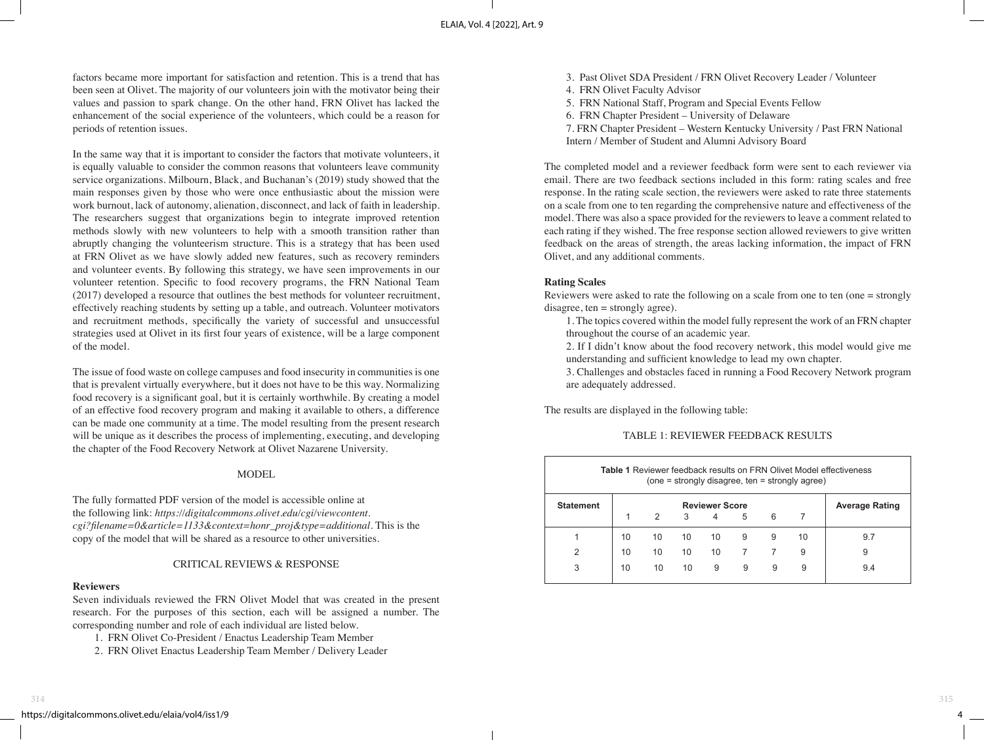factors became more important for satisfaction and retention. This is a trend that has been seen at Olivet. The majority of our volunteers join with the motivator being their values and passion to spark change. On the other hand, FRN Olivet has lacked the enhancement of the social experience of the volunteers, which could be a reason for periods of retention issues.

In the same way that it is important to consider the factors that motivate volunteers, it is equally valuable to consider the common reasons that volunteers leave community service organizations. Milbourn, Black, and Buchanan's (2019) study showed that the main responses given by those who were once enthusiastic about the mission were work burnout, lack of autonomy, alienation, disconnect, and lack of faith in leadership. The researchers suggest that organizations begin to integrate improved retention methods slowly with new volunteers to help with a smooth transition rather than abruptly changing the volunteerism structure. This is a strategy that has been used at FRN Olivet as we have slowly added new features, such as recovery reminders and volunteer events. By following this strategy, we have seen improvements in our volunteer retention. Specific to food recovery programs, the FRN National Team (2017) developed a resource that outlines the best methods for volunteer recruitment, effectively reaching students by setting up a table, and outreach. Volunteer motivators and recruitment methods, specifically the variety of successful and unsuccessful strategies used at Olivet in its first four years of existence, will be a large component of the model.

The issue of food waste on college campuses and food insecurity in communities is one that is prevalent virtually everywhere, but it does not have to be this way. Normalizing food recovery is a significant goal, but it is certainly worthwhile. By creating a model of an effective food recovery program and making it available to others, a difference can be made one community at a time. The model resulting from the present research will be unique as it describes the process of implementing, executing, and developing the chapter of the Food Recovery Network at Olivet Nazarene University.

#### MODEL

The fully formatted PDF version of the model is accessible online at the following link: *https://digitalcommons.olivet.edu/cgi/viewcontent. cgi?filename=0&article=1133&context=honr\_proj&type=additional*. This is the copy of the model that will be shared as a resource to other universities.

#### CRITICAL REVIEWS & RESPONSE

#### **Reviewers**

Seven individuals reviewed the FRN Olivet Model that was created in the present research. For the purposes of this section, each will be assigned a number. The corresponding number and role of each individual are listed below.

- 1. FRN Olivet Co-President / Enactus Leadership Team Member
- 2. FRN Olivet Enactus Leadership Team Member / Delivery Leader
- 3. Past Olivet SDA President / FRN Olivet Recovery Leader / Volunteer
- 4. FRN Olivet Faculty Advisor
- 5. FRN National Staff, Program and Special Events Fellow
- 6. FRN Chapter President University of Delaware
- 7. FRN Chapter President Western Kentucky University / Past FRN National
- Intern / Member of Student and Alumni Advisory Board

The completed model and a reviewer feedback form were sent to each reviewer via email. There are two feedback sections included in this form: rating scales and free response. In the rating scale section, the reviewers were asked to rate three statements on a scale from one to ten regarding the comprehensive nature and effectiveness of the model. There was also a space provided for the reviewers to leave a comment related to each rating if they wished. The free response section allowed reviewers to give written feedback on the areas of strength, the areas lacking information, the impact of FRN Olivet, and any additional comments.

#### **Rating Scales**

Reviewers were asked to rate the following on a scale from one to ten (one = strongly disagree, ten = strongly agree).

- 1. The topics covered within the model fully represent the work of an FRN chapter throughout the course of an academic year.
- 2. If I didn't know about the food recovery network, this model would give me understanding and sufficient knowledge to lead my own chapter.

3. Challenges and obstacles faced in running a Food Recovery Network program are adequately addressed.

The results are displayed in the following table:

#### TABLE 1: REVIEWER FEEDBACK RESULTS

| <b>Table 1 Reviewer feedback results on FRN Olivet Model effectiveness</b><br>(one = strongly disagree, ten = strongly agree) |                       |    |    |    |                |   |    |                       |
|-------------------------------------------------------------------------------------------------------------------------------|-----------------------|----|----|----|----------------|---|----|-----------------------|
| <b>Statement</b>                                                                                                              | <b>Reviewer Score</b> |    |    |    |                |   |    | <b>Average Rating</b> |
|                                                                                                                               | 1                     | 2  | 3  | 4  | 5              | 6 | 7  |                       |
|                                                                                                                               | 10                    | 10 | 10 | 10 | 9              | 9 | 10 | 9.7                   |
| 2                                                                                                                             | 10                    | 10 | 10 | 10 | $\overline{7}$ | 7 | 9  | 9                     |
| 3                                                                                                                             | 10                    | 10 | 10 | 9  | 9              | 9 | 9  | 9.4                   |

4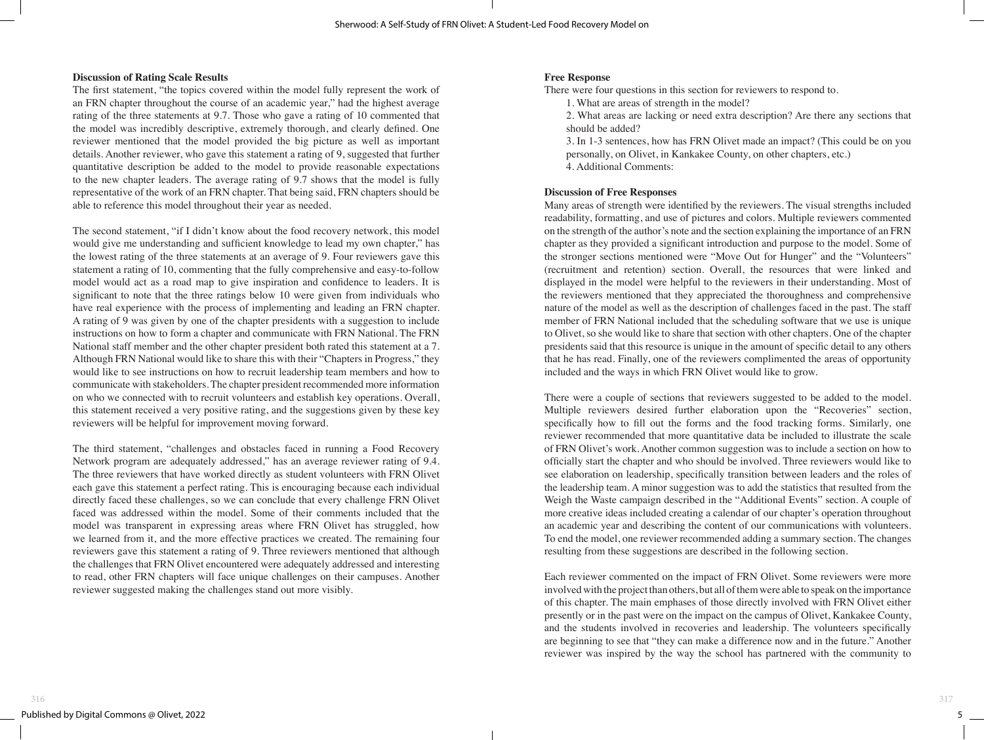#### **Discussion of Rating Scale Results**

The first statement, "the topics covered within the model fully represent the work of an FRN chapter throughout the course of an academic year," had the highest average rating of the three statements at 9.7. Those who gave a rating of 10 commented that the model was incredibly descriptive, extremely thorough, and clearly defined. One reviewer mentioned that the model provided the big picture as well as important details. Another reviewer, who gave this statement a rating of 9, suggested that further quantitative description be added to the model to provide reasonable expectations to the new chapter leaders. The average rating of 9.7 shows that the model is fully representative of the work of an FRN chapter. That being said, FRN chapters should be able to reference this model throughout their year as needed.

The second statement, "if I didn't know about the food recovery network, this model would give me understanding and sufficient knowledge to lead my own chapter," has the lowest rating of the three statements at an average of 9. Four reviewers gave this statement a rating of 10, commenting that the fully comprehensive and easy-to-follow model would act as a road map to give inspiration and confidence to leaders. It is significant to note that the three ratings below 10 were given from individuals who have real experience with the process of implementing and leading an FRN chapter. A rating of 9 was given by one of the chapter presidents with a suggestion to include instructions on how to form a chapter and communicate with FRN National. The FRN National staff member and the other chapter president both rated this statement at a 7. Although FRN National would like to share this with their "Chapters in Progress," they would like to see instructions on how to recruit leadership team members and how to communicate with stakeholders. The chapter president recommended more information on who we connected with to recruit volunteers and establish key operations. Overall, this statement received a very positive rating, and the suggestions given by these key reviewers will be helpful for improvement moving forward.

The third statement, "challenges and obstacles faced in running a Food Recovery Network program are adequately addressed," has an average reviewer rating of 9.4. The three reviewers that have worked directly as student volunteers with FRN Olivet each gave this statement a perfect rating. This is encouraging because each individual directly faced these challenges, so we can conclude that every challenge FRN Olivet faced was addressed within the model. Some of their comments included that the model was transparent in expressing areas where FRN Olivet has struggled, how we learned from it, and the more effective practices we created. The remaining four reviewers gave this statement a rating of 9. Three reviewers mentioned that although the challenges that FRN Olivet encountered were adequately addressed and interesting to read, other FRN chapters will face unique challenges on their campuses. Another reviewer suggested making the challenges stand out more visibly.

## **Free Response**

There were four questions in this section for reviewers to respond to.

- 1. What are areas of strength in the model?
- 2. What areas are lacking or need extra description? Are there any sections that should be added?
- 3. In 1-3 sentences, how has FRN Olivet made an impact? (This could be on you personally, on Olivet, in Kankakee County, on other chapters, etc.)
- 4. Additional Comments:

#### **Discussion of Free Responses**

Many areas of strength were identified by the reviewers. The visual strengths included readability, formatting, and use of pictures and colors. Multiple reviewers commented on the strength of the author's note and the section explaining the importance of an FRN chapter as they provided a significant introduction and purpose to the model. Some of the stronger sections mentioned were "Move Out for Hunger" and the "Volunteers" (recruitment and retention) section. Overall, the resources that were linked and displayed in the model were helpful to the reviewers in their understanding. Most of the reviewers mentioned that they appreciated the thoroughness and comprehensive nature of the model as well as the description of challenges faced in the past. The staff member of FRN National included that the scheduling software that we use is unique to Olivet, so she would like to share that section with other chapters. One of the chapter presidents said that this resource is unique in the amount of specific detail to any others that he has read. Finally, one of the reviewers complimented the areas of opportunity included and the ways in which FRN Olivet would like to grow.

There were a couple of sections that reviewers suggested to be added to the model. Multiple reviewers desired further elaboration upon the "Recoveries" section, specifically how to fill out the forms and the food tracking forms. Similarly, one reviewer recommended that more quantitative data be included to illustrate the scale of FRN Olivet's work. Another common suggestion was to include a section on how to officially start the chapter and who should be involved. Three reviewers would like to see elaboration on leadership, specifically transition between leaders and the roles of the leadership team. A minor suggestion was to add the statistics that resulted from the Weigh the Waste campaign described in the "Additional Events" section. A couple of more creative ideas included creating a calendar of our chapter's operation throughout an academic year and describing the content of our communications with volunteers. To end the model, one reviewer recommended adding a summary section. The changes resulting from these suggestions are described in the following section.

Each reviewer commented on the impact of FRN Olivet. Some reviewers were more involved with the project than others, but all of them were able to speak on the importance of this chapter. The main emphases of those directly involved with FRN Olivet either presently or in the past were on the impact on the campus of Olivet, Kankakee County, and the students involved in recoveries and leadership. The volunteers specifically are beginning to see that "they can make a difference now and in the future." Another reviewer was inspired by the way the school has partnered with the community to

 $5$   $\equiv$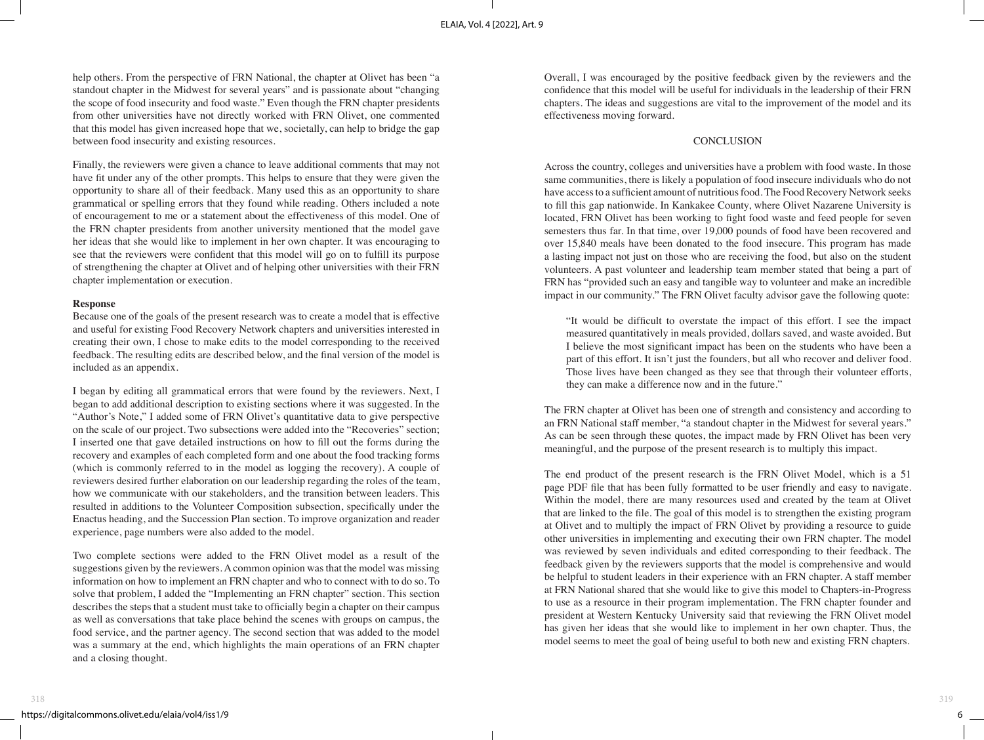help others. From the perspective of FRN National, the chapter at Olivet has been "a standout chapter in the Midwest for several years" and is passionate about "changing the scope of food insecurity and food waste." Even though the FRN chapter presidents from other universities have not directly worked with FRN Olivet, one commented that this model has given increased hope that we, societally, can help to bridge the gap between food insecurity and existing resources.

Finally, the reviewers were given a chance to leave additional comments that may not have fit under any of the other prompts. This helps to ensure that they were given the opportunity to share all of their feedback. Many used this as an opportunity to share grammatical or spelling errors that they found while reading. Others included a note of encouragement to me or a statement about the effectiveness of this model. One of the FRN chapter presidents from another university mentioned that the model gave her ideas that she would like to implement in her own chapter. It was encouraging to see that the reviewers were confident that this model will go on to fulfill its purpose of strengthening the chapter at Olivet and of helping other universities with their FRN chapter implementation or execution.

#### **Response**

Because one of the goals of the present research was to create a model that is effective and useful for existing Food Recovery Network chapters and universities interested in creating their own, I chose to make edits to the model corresponding to the received feedback. The resulting edits are described below, and the final version of the model is included as an appendix.

I began by editing all grammatical errors that were found by the reviewers. Next, I began to add additional description to existing sections where it was suggested. In the "Author's Note," I added some of FRN Olivet's quantitative data to give perspective on the scale of our project. Two subsections were added into the "Recoveries" section; I inserted one that gave detailed instructions on how to fill out the forms during the recovery and examples of each completed form and one about the food tracking forms (which is commonly referred to in the model as logging the recovery). A couple of reviewers desired further elaboration on our leadership regarding the roles of the team, how we communicate with our stakeholders, and the transition between leaders. This resulted in additions to the Volunteer Composition subsection, specifically under the Enactus heading, and the Succession Plan section. To improve organization and reader experience, page numbers were also added to the model.

Two complete sections were added to the FRN Olivet model as a result of the suggestions given by the reviewers. A common opinion was that the model was missing information on how to implement an FRN chapter and who to connect with to do so. To solve that problem, I added the "Implementing an FRN chapter" section. This section describes the steps that a student must take to officially begin a chapter on their campus as well as conversations that take place behind the scenes with groups on campus, the food service, and the partner agency. The second section that was added to the model was a summary at the end, which highlights the main operations of an FRN chapter and a closing thought.

Overall, I was encouraged by the positive feedback given by the reviewers and the confidence that this model will be useful for individuals in the leadership of their FRN chapters. The ideas and suggestions are vital to the improvement of the model and its effectiveness moving forward.

#### **CONCLUSION**

Across the country, colleges and universities have a problem with food waste. In those same communities, there is likely a population of food insecure individuals who do not have access to a sufficient amount of nutritious food. The Food Recovery Network seeks to fill this gap nationwide. In Kankakee County, where Olivet Nazarene University is located, FRN Olivet has been working to fight food waste and feed people for seven semesters thus far. In that time, over 19,000 pounds of food have been recovered and over 15,840 meals have been donated to the food insecure. This program has made a lasting impact not just on those who are receiving the food, but also on the student volunteers. A past volunteer and leadership team member stated that being a part of FRN has "provided such an easy and tangible way to volunteer and make an incredible impact in our community." The FRN Olivet faculty advisor gave the following quote:

"It would be difficult to overstate the impact of this effort. I see the impact measured quantitatively in meals provided, dollars saved, and waste avoided. But I believe the most significant impact has been on the students who have been a part of this effort. It isn't just the founders, but all who recover and deliver food. Those lives have been changed as they see that through their volunteer efforts, they can make a difference now and in the future."

The FRN chapter at Olivet has been one of strength and consistency and according to an FRN National staff member, "a standout chapter in the Midwest for several years." As can be seen through these quotes, the impact made by FRN Olivet has been very meaningful, and the purpose of the present research is to multiply this impact.

The end product of the present research is the FRN Olivet Model, which is a 51 page PDF file that has been fully formatted to be user friendly and easy to navigate. Within the model, there are many resources used and created by the team at Olivet that are linked to the file. The goal of this model is to strengthen the existing program at Olivet and to multiply the impact of FRN Olivet by providing a resource to guide other universities in implementing and executing their own FRN chapter. The model was reviewed by seven individuals and edited corresponding to their feedback. The feedback given by the reviewers supports that the model is comprehensive and would be helpful to student leaders in their experience with an FRN chapter. A staff member at FRN National shared that she would like to give this model to Chapters-in-Progress to use as a resource in their program implementation. The FRN chapter founder and president at Western Kentucky University said that reviewing the FRN Olivet model has given her ideas that she would like to implement in her own chapter. Thus, the model seems to meet the goal of being useful to both new and existing FRN chapters.

 $6$  —